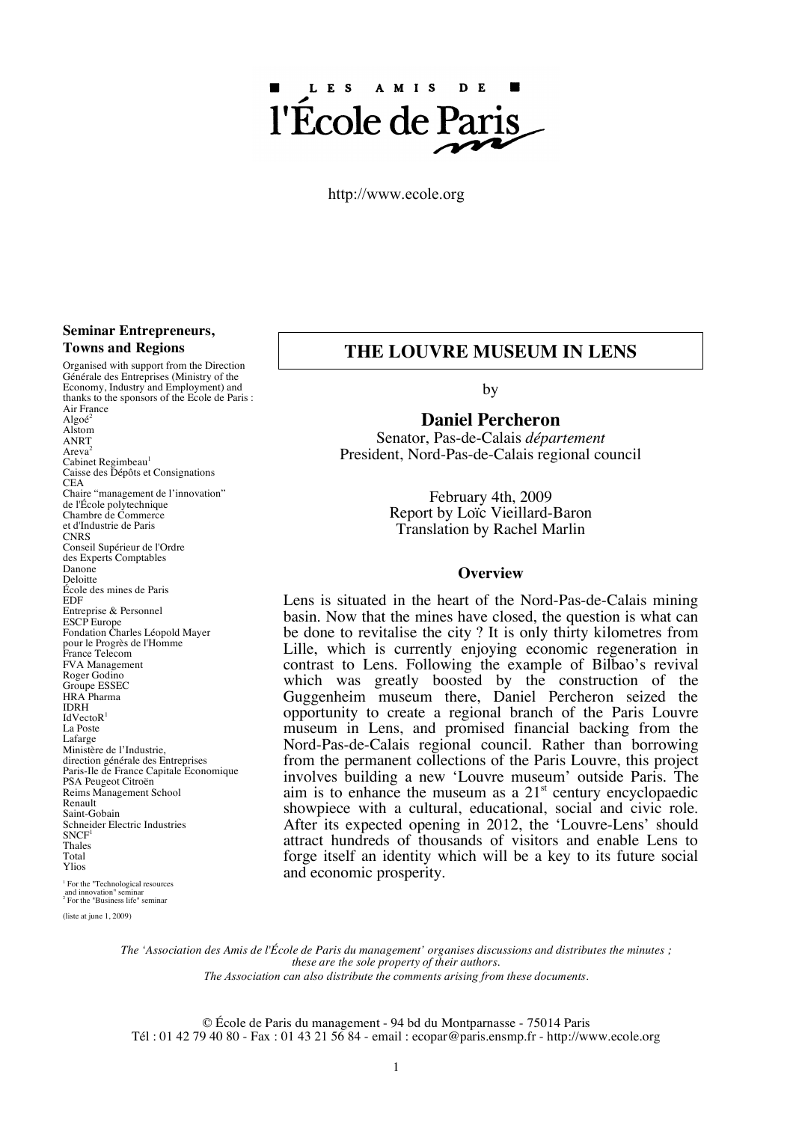# LES AMIS D<sub>E</sub> l'École de Pa

http://www.ecole.org

#### **Seminar Entrepreneurs, Towns and Regions**

Organised with support from the Direction Générale des Entreprises (Ministry of the Economy, Industry and Employment) and thanks to the sponsors of the Ecole de Paris : Air France Algoé<sup>2</sup> Alstom ANRT Areva Cabinet Regimbeau<sup>1</sup> Caisse des Dépôts et Consignations  $CEA$ Chaire "management de l'innovation" de l'École polytechnique Chambre de Commerce et d'Industrie de Paris CNRS<br>Conseil Supérieur de l'Ordre des Experts Comptables Danone<br>Deloitte École des mines de Paris EDF Entreprise & Personnel ESCP Europe Fondation Charles Léopold Mayer pour le Progrès de l'Homme France Telecom **FVA Management**<br>Roger Godino Groupe ESSEC HRA Pharma IDRH IdVectoR<sup>1</sup> La Poste<br>Lafarge Ministère de l'Industrie direction générale des Entreprises Paris-Ile de France Capitale Economique PSA Peugeot Citroën Reims Management School Renault Saint-Gobain Schneider Electric Industries<br>SNCF<sup>1</sup> Thales Total Ylios

<sup>1</sup> For the "Technological resources and innovation" seminar<br>
<sup>2</sup> For the "Business life" seminar

(liste at june 1, 2009)

## **THE LOUVRE MUSEUM IN LENS**

by

### **Daniel Percheron**

Senator, Pas-de-Calais *département* President, Nord-Pas-de-Calais regional council

> February 4th, 2009 Report by Loïc Vieillard-Baron Translation by Rachel Marlin

#### **Overview**

Lens is situated in the heart of the Nord-Pas-de-Calais mining basin. Now that the mines have closed, the question is what can be done to revitalise the city ? It is only thirty kilometres from Lille, which is currently enjoying economic regeneration in contrast to Lens. Following the example of Bilbao's revival which was greatly boosted by the construction of the Guggenheim museum there, Daniel Percheron seized the opportunity to create a regional branch of the Paris Louvre museum in Lens, and promised financial backing from the Nord-Pas-de-Calais regional council. Rather than borrowing from the permanent collections of the Paris Louvre, this project involves building a new 'Louvre museum' outside Paris. The aim is to enhance the museum as a  $21<sup>st</sup>$  century encyclopaedic showpiece with a cultural, educational, social and civic role. After its expected opening in 2012, the 'Louvre-Lens' should attract hundreds of thousands of visitors and enable Lens to forge itself an identity which will be a key to its future social and economic prosperity.

The 'Association des Amis de l'École de Paris du management' organises discussions and distributes the minutes: *these are the sole property of their authors.*

*The Association can also distribute the comments arising from these documents*.

© École de Paris du management - 94 bd du Montparnasse - 75014 Paris Tél : 01 42 79 40 80 - Fax : 01 43 21 56 84 - email : ecopar@paris.ensmp.fr - http://www.ecole.org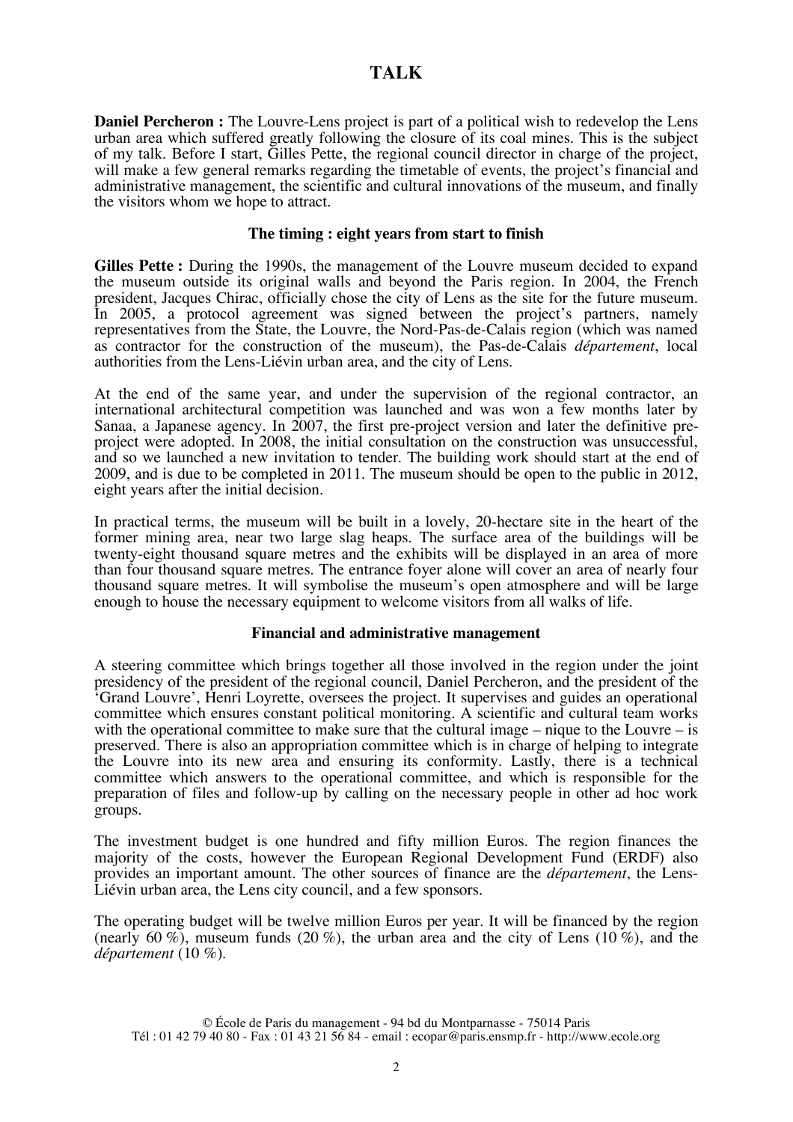**Daniel Percheron :** The Louvre-Lens project is part of a political wish to redevelop the Lens urban area which suffered greatly following the closure of its coal mines. This is the subject of my talk. Before I start, Gilles Pette, the regional council director in charge of the project, will make a few general remarks regarding the timetable of events, the project's financial and administrative management, the scientific and cultural innovations of the museum, and finally the visitors whom we hope to attract.

### **The timing : eight years from start to finish**

**Gilles Pette :** During the 1990s, the management of the Louvre museum decided to expand the museum outside its original walls and beyond the Paris region. In 2004, the French president, Jacques Chirac, officially chose the city of Lens as the site for the future museum. In 2005, a protocol agreement was signed between the project's partners, namely representatives from the State, the Louvre, the Nord-Pas-de-Calais region (which was named as contractor for the construction of the museum), the Pas-de-Calais *département*, local authorities from the Lens-Liévin urban area, and the city of Lens.

At the end of the same year, and under the supervision of the regional contractor, an international architectural competition was launched and was won a few months later by Sanaa, a Japanese agency. In 2007, the first pre-project version and later the definitive preproject were adopted. In 2008, the initial consultation on the construction was unsuccessful, and so we launched a new invitation to tender. The building work should start at the end of 2009, and is due to be completed in 2011. The museum should be open to the public in 2012, eight years after the initial decision.

In practical terms, the museum will be built in a lovely, 20-hectare site in the heart of the former mining area, near two large slag heaps. The surface area of the buildings will be twenty-eight thousand square metres and the exhibits will be displayed in an area of more than four thousand square metres. The entrance foyer alone will cover an area of nearly four thousand square metres. It will symbolise the museum's open atmosphere and will be large enough to house the necessary equipment to welcome visitors from all walks of life.

### **Financial and administrative management**

A steering committee which brings together all those involved in the region under the joint presidency of the president of the regional council, Daniel Percheron, and the president of the 'Grand Louvre', Henri Loyrette, oversees the project. It supervises and guides an operational committee which ensures constant political monitoring. A scientific and cultural team works with the operational committee to make sure that the cultural image – nique to the Louvre – is preserved. There is also an appropriation committee which is in charge of helping to integrate the Louvre into its new area and ensuring its conformity. Lastly, there is a technical committee which answers to the operational committee, and which is responsible for the preparation of files and follow-up by calling on the necessary people in other ad hoc work groups.

The investment budget is one hundred and fifty million Euros. The region finances the majority of the costs, however the European Regional Development Fund (ERDF) also provides an important amount. The other sources of finance are the *département*, the Lens- Liévin urban area, the Lens city council, and a few sponsors.

The operating budget will be twelve million Euros per year. It will be financed by the region (nearly 60 %), museum funds (20 %), the urban area and the city of Lens (10 %), and the *département* (10 %).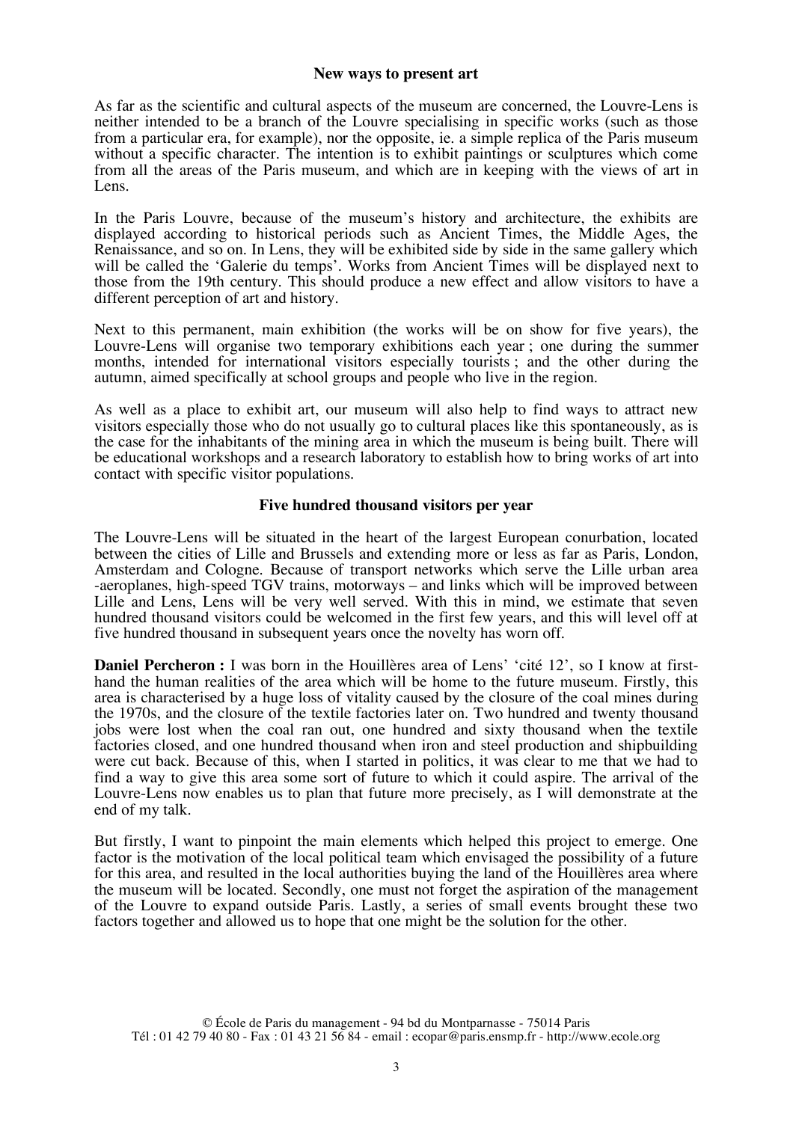## **New ways to present art**

As far as the scientific and cultural aspects of the museum are concerned, the Louvre-Lens is neither intended to be a branch of the Louvre specialising in specific works (such as those from a particular era, for example), nor the opposite, ie. a simple replica of the Paris museum without a specific character. The intention is to exhibit paintings or sculptures which come from all the areas of the Paris museum, and which are in keeping with the views of art in Lens.

In the Paris Louvre, because of the museum's history and architecture, the exhibits are displayed according to historical periods such as Ancient Times, the Middle Ages, the Renaissance, and so on. In Lens, they will be exhibited side by side in the same gallery which will be called the 'Galerie du temps'. Works from Ancient Times will be displayed next to those from the 19th century. This should produce a new effect and allow visitors to have a different perception of art and history.

Next to this permanent, main exhibition (the works will be on show for five years), the Louvre-Lens will organise two temporary exhibitions each year ; one during the summer months, intended for international visitors especially tourists ; and the other during the autumn, aimed specifically at school groups and people who live in the region.

As well as a place to exhibit art, our museum will also help to find ways to attract new visitors especially those who do not usually go to cultural places like this spontaneously, as is the case for the inhabitants of the mining area in which the museum is being built. There will be educational workshops and a research laboratory to establish how to bring works of art into contact with specific visitor populations.

## **Five hundred thousand visitors per year**

The Louvre-Lens will be situated in the heart of the largest European conurbation, located between the cities of Lille and Brussels and extending more or less as far as Paris, London, Amsterdam and Cologne. Because of transport networks which serve the Lille urban area -aeroplanes, high-speed TGV trains, motorways – and links which will be improved between Lille and Lens, Lens will be very well served. With this in mind, we estimate that seven hundred thousand visitors could be welcomed in the first few years, and this will level off at five hundred thousand in subsequent years once the novelty has worn off.

**Daniel Percheron :** I was born in the Houillères area of Lens' 'cité 12', so I know at firsthand the human realities of the area which will be home to the future museum. Firstly, this area is characterised by a huge loss of vitality caused by the closure of the coal mines during the 1970s, and the closure of the textile factories later on. Two hundred and twenty thousand jobs were lost when the coal ran out, one hundred and sixty thousand when the textile factories closed, and one hundred thousand when iron and steel production and shipbuilding were cut back. Because of this, when I started in politics, it was clear to me that we had to find a way to give this area some sort of future to which it could aspire. The arrival of the Louvre-Lens now enables us to plan that future more precisely, as I will demonstrate at the end of my talk.

But firstly, I want to pinpoint the main elements which helped this project to emerge. One factor is the motivation of the local political team which envisaged the possibility of a future for this area, and resulted in the local authorities buying the land of the Houillères area where the museum will be located. Secondly, one must not forget the aspiration of the management of the Louvre to expand outside Paris. Lastly, a series of small events brought these two factors together and allowed us to hope that one might be the solution for the other.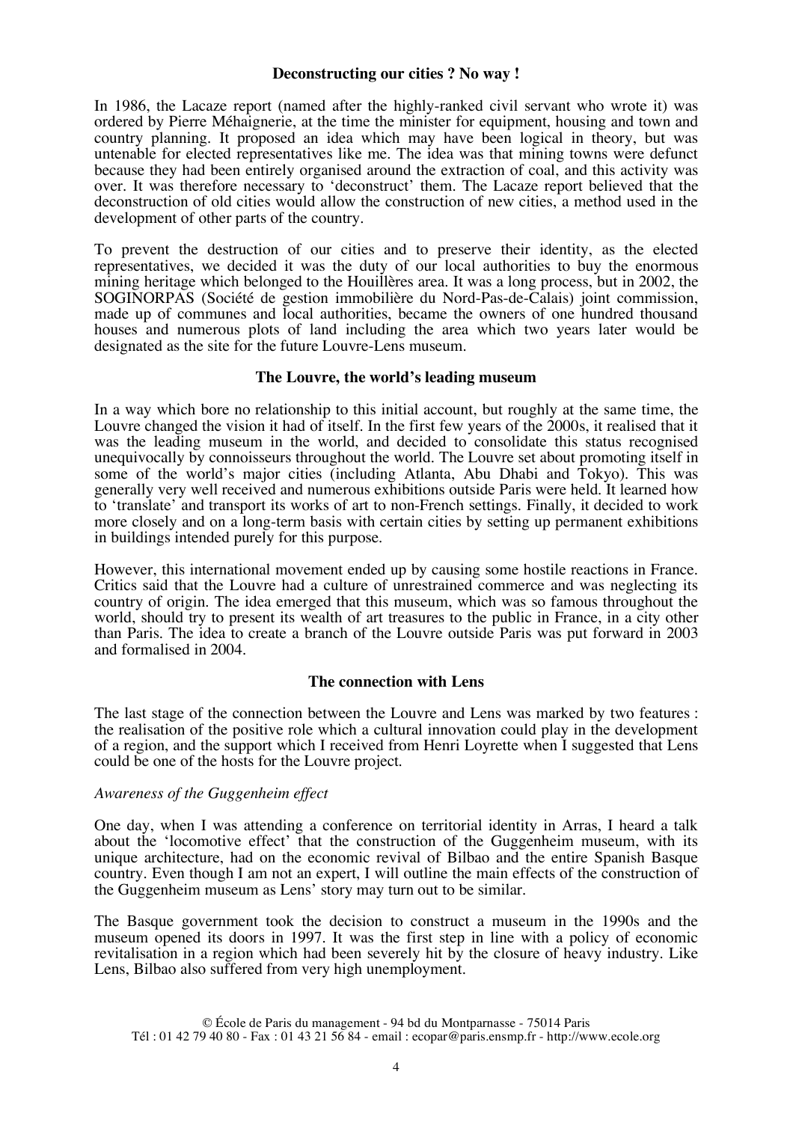### **Deconstructing our cities ? No way !**

In 1986, the Lacaze report (named after the highly-ranked civil servant who wrote it) was ordered by Pierre Méhaignerie, at the time the minister for equipment, housing and town and country planning. It proposed an idea which may have been logical in theory, but was untenable for elected representatives like me. The idea was that mining towns were defunct because they had been entirely organised around the extraction of coal, and this activity was over. It was therefore necessary to 'deconstruct' them. The Lacaze report believed that the deconstruction of old cities would allow the construction of new cities, a method used in the development of other parts of the country.

To prevent the destruction of our cities and to preserve their identity, as the elected representatives, we decided it was the duty of our local authorities to buy the enormous mining heritage which belonged to the Houillères area. It was a long process, but in 2002, the SOGINORPAS (Société de gestion immobilière du Nord-Pas-de-Calais) joint commission, made up of communes and local authorities, became the owners of one hundred thousand houses and numerous plots of land including the area which two years later would be designated as the site for the future Louvre-Lens museum.

## **The Louvre, the world's leading museum**

In a way which bore no relationship to this initial account, but roughly at the same time, the Louvre changed the vision it had of itself. In the first few years of the 2000s, it realised that it was the leading museum in the world, and decided to consolidate this status recognised unequivocally by connoisseurs throughout the world. The Louvre set about promoting itself in some of the world's major cities (including Atlanta, Abu Dhabi and Tokyo). This was generally very well received and numerous exhibitions outside Paris were held. It learned how to 'translate' and transport its works of art to non-French settings. Finally, it decided to work more closely and on a long-term basis with certain cities by setting up permanent exhibitions in buildings intended purely for this purpose.

However, this international movement ended up by causing some hostile reactions in France. Critics said that the Louvre had a culture of unrestrained commerce and was neglecting its country of origin. The idea emerged that this museum, which was so famous throughout the world, should try to present its wealth of art treasures to the public in France, in a city other than Paris. The idea to create a branch of the Louvre outside Paris was put forward in 2003 and formalised in 2004.

## **The connection with Lens**

The last stage of the connection between the Louvre and Lens was marked by two features : the realisation of the positive role which a cultural innovation could play in the development of a region, and the support which I received from Henri Loyrette when I suggested that Lens could be one of the hosts for the Louvre project.

## *Awareness of the Guggenheim effect*

One day, when I was attending a conference on territorial identity in Arras, I heard a talk about the 'locomotive effect' that the construction of the Guggenheim museum, with its unique architecture, had on the economic revival of Bilbao and the entire Spanish Basque country. Even though I am not an expert, I will outline the main effects of the construction of the Guggenheim museum as Lens' story may turn out to be similar.

The Basque government took the decision to construct a museum in the 1990s and the museum opened its doors in 1997. It was the first step in line with a policy of economic revitalisation in a region which had been severely hit by the closure of heavy industry. Like Lens, Bilbao also suffered from very high unemployment.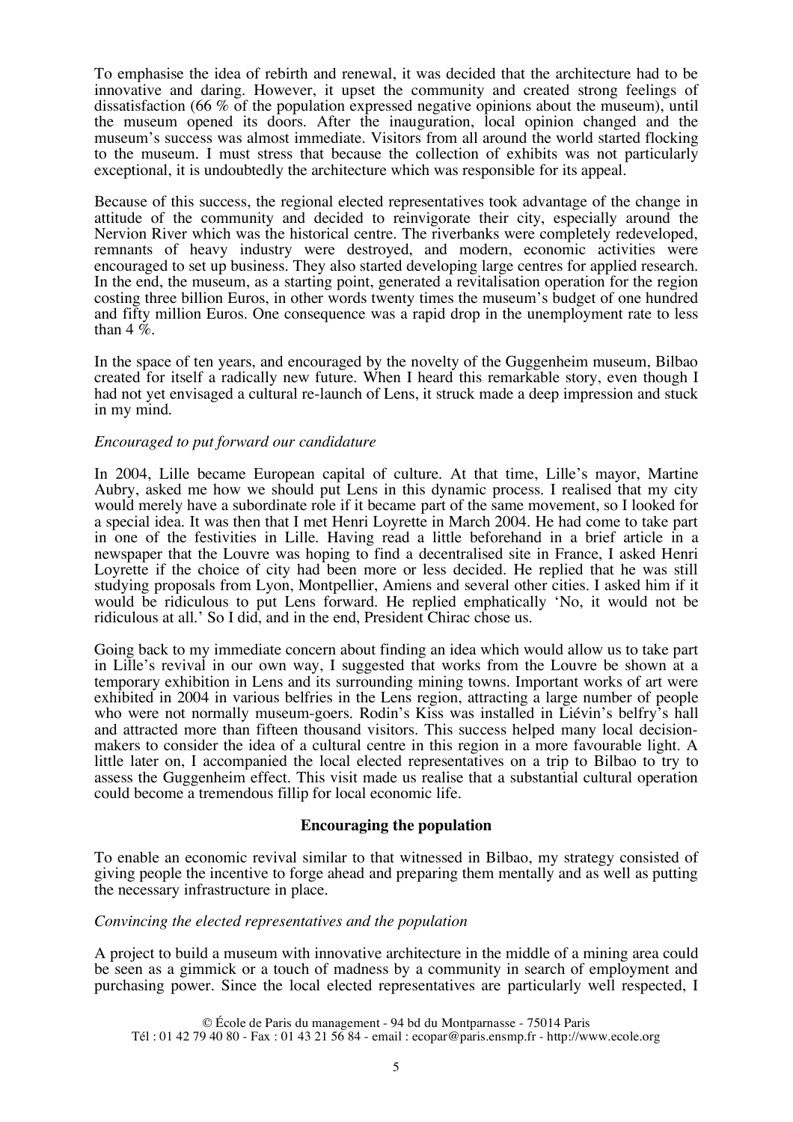To emphasise the idea of rebirth and renewal, it was decided that the architecture had to be innovative and daring. However, it upset the community and created strong feelings of dissatisfaction (66 % of the population expressed negative opinions about the museum), until the museum opened its doors. After the inauguration, local opinion changed and the museum's success was almost immediate. Visitors from all around the world started flocking to the museum. I must stress that because the collection of exhibits was not particularly exceptional, it is undoubtedly the architecture which was responsible for its appeal.

Because of this success, the regional elected representatives took advantage of the change in attitude of the community and decided to reinvigorate their city, especially around the Nervion River which was the historical centre. The riverbanks were completely redeveloped, remnants of heavy industry were destroyed, and modern, economic activities were encouraged to set up business. They also started developing large centres for applied research. In the end, the museum, as a starting point, generated a revitalisation operation for the region costing three billion Euros, in other words twenty times the museum's budget of one hundred and fifty million Euros. One consequence was a rapid drop in the unemployment rate to less than 4  $\dot{\%}$ .

In the space of ten years, and encouraged by the novelty of the Guggenheim museum, Bilbao created for itself a radically new future. When I heard this remarkable story, even though I had not yet envisaged a cultural re-launch of Lens, it struck made a deep impression and stuck in my mind.

## *Encouraged to put forward our candidature*

In 2004, Lille became European capital of culture. At that time, Lille's mayor, Martine Aubry, asked me how we should put Lens in this dynamic process. I realised that my city would merely have a subordinate role if it became part of the same movement, so I looked for a special idea. It was then that I met Henri Loyrette in March 2004. He had come to take part in one of the festivities in Lille. Having read a little beforehand in a brief article in a newspaper that the Louvre was hoping to find a decentralised site in France, I asked Henri Loyrette if the choice of city had been more or less decided. He replied that he was still studying proposals from Lyon, Montpellier, Amiens and several other cities. I asked him if it would be ridiculous to put Lens forward. He replied emphatically 'No, it would not be ridiculous at all.' So I did, and in the end, President Chirac chose us.

Going back to my immediate concern about finding an idea which would allow us to take part in Lille's revival in our own way, I suggested that works from the Louvre be shown at a temporary exhibition in Lens and its surrounding mining towns. Important works of art were exhibited in 2004 in various belfries in the Lens region, attracting a large number of people who were not normally museum-goers. Rodin's Kiss was installed in Liévin's belfry's hall and attracted more than fifteen thousand visitors. This success helped many local decisionmakers to consider the idea of a cultural centre in this region in a more favourable light. A little later on, I accompanied the local elected representatives on a trip to Bilbao to try to assess the Guggenheim effect. This visit made us realise that a substantial cultural operation could become a tremendous fillip for local economic life.

### **Encouraging the population**

To enable an economic revival similar to that witnessed in Bilbao, my strategy consisted of giving people the incentive to forge ahead and preparing them mentally and as well as putting the necessary infrastructure in place.

### *Convincing the elected representatives and the population*

A project to build a museum with innovative architecture in the middle of a mining area could be seen as a gimmick or a touch of madness by a community in search of employment and purchasing power. Since the local elected representatives are particularly well respected, I

© École de Paris du management - 94 bd du Montparnasse - 75014 Paris Tél : 01 42 79 40 80 - Fax : 01 43 21 56 84 - email : ecopar@paris.ensmp.fr - http://www.ecole.org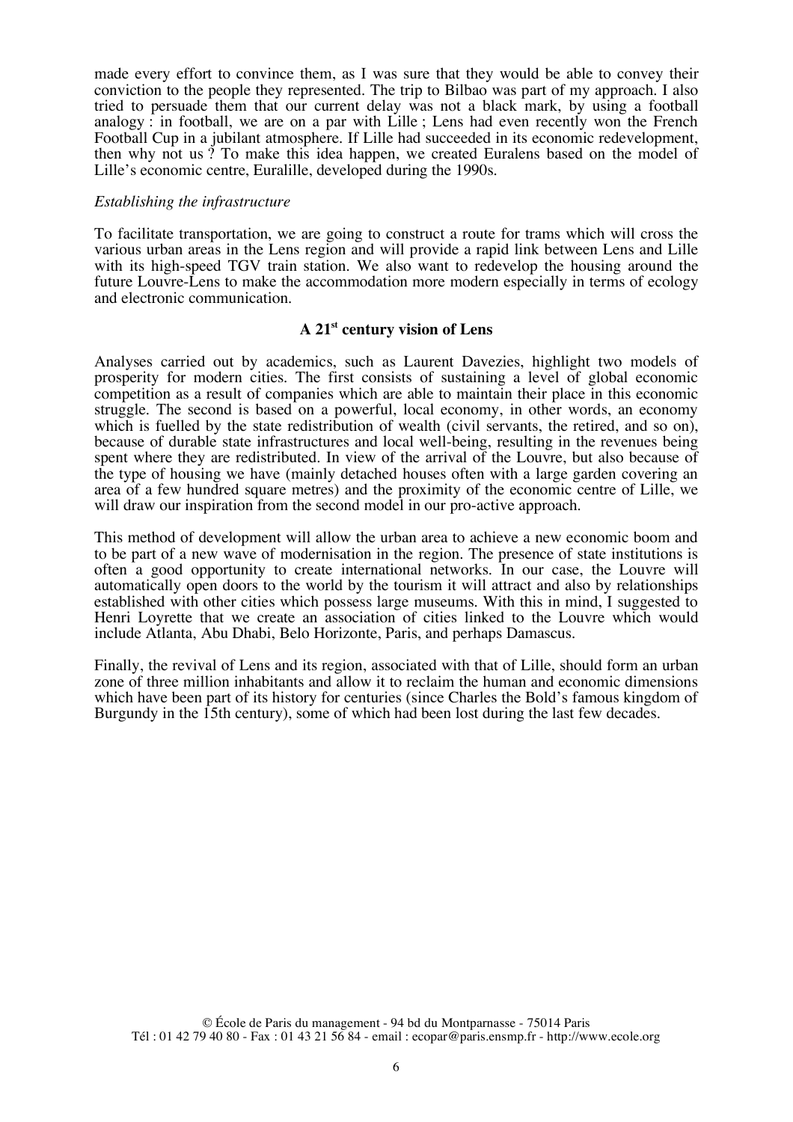made every effort to convince them, as I was sure that they would be able to convey their conviction to the people they represented. The trip to Bilbao was part of my approach. I also tried to persuade them that our current delay was not a black mark, by using a football analogy : in football, we are on a par with Lille ; Lens had even recently won the French Football Cup in a jubilant atmosphere. If Lille had succeeded in its economic redevelopment, then why not us ? To make this idea happen, we created Euralens based on the model of Lille's economic centre, Euralille, developed during the 1990s.

## *Establishing the infrastructure*

To facilitate transportation, we are going to construct a route for trams which will cross the various urban areas in the Lens region and will provide a rapid link between Lens and Lille with its high-speed TGV train station. We also want to redevelop the housing around the future Louvre-Lens to make the accommodation more modern especially in terms of ecology and electronic communication.

## **A 21st century vision of Lens**

Analyses carried out by academics, such as Laurent Davezies, highlight two models of prosperity for modern cities. The first consists of sustaining a level of global economic competition as a result of companies which are able to maintain their place in this economic struggle. The second is based on a powerful, local economy, in other words, an economy which is fuelled by the state redistribution of wealth (civil servants, the retired, and so on), because of durable state infrastructures and local well-being, resulting in the revenues being spent where they are redistributed. In view of the arrival of the Louvre, but also because of the type of housing we have (mainly detached houses often with a large garden covering an area of a few hundred square metres) and the proximity of the economic centre of Lille, we will draw our inspiration from the second model in our pro-active approach.

This method of development will allow the urban area to achieve a new economic boom and to be part of a new wave of modernisation in the region. The presence of state institutions is often a good opportunity to create international networks. In our case, the Louvre will automatically open doors to the world by the tourism it will attract and also by relationships established with other cities which possess large museums. With this in mind, I suggested to Henri Loyrette that we create an association of cities linked to the Louvre which would include Atlanta, Abu Dhabi, Belo Horizonte, Paris, and perhaps Damascus.

Finally, the revival of Lens and its region, associated with that of Lille, should form an urban zone of three million inhabitants and allow it to reclaim the human and economic dimensions which have been part of its history for centuries (since Charles the Bold's famous kingdom of Burgundy in the 15th century), some of which had been lost during the last few decades.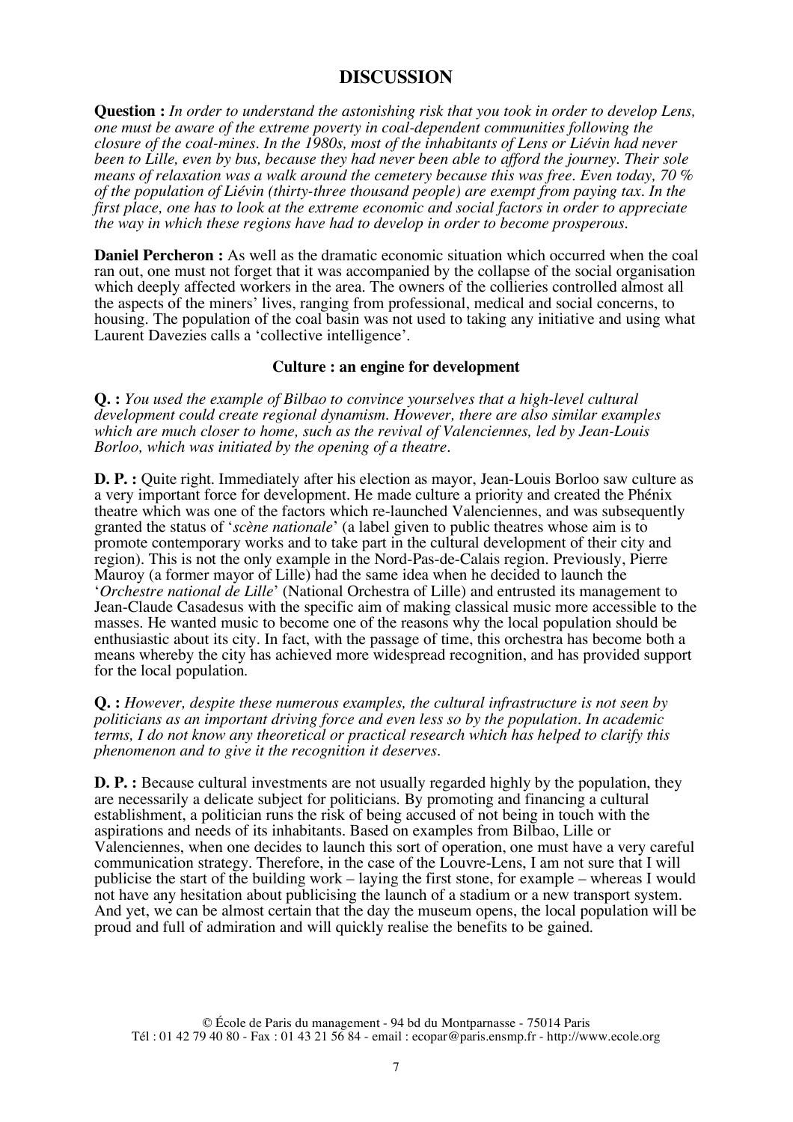## **DISCUSSION**

**Question :** *In order to understand the astonishing risk that you took in order to develop Lens, one must be aware of the extreme poverty in coal-dependent communities following the closure of the coal-mines. In the 1980s, most of the inhabitants of Lens or Liévin had never been to Lille, even by bus, because they had never been able to afford the journey. Their sole means of relaxation was a walk around the cemetery because this was free. Even today, 70 % of the population of Liévin (thirty-three thousand people) are exempt from paying tax. In the first place, one has to look at the extreme economic and social factors in order to appreciate the way in which these regions have had to develop in order to become prosperous.*

**Daniel Percheron :** As well as the dramatic economic situation which occurred when the coal ran out, one must not forget that it was accompanied by the collapse of the social organisation which deeply affected workers in the area. The owners of the collieries controlled almost all the aspects of the miners' lives, ranging from professional, medical and social concerns, to housing. The population of the coal basin was not used to taking any initiative and using what Laurent Davezies calls a 'collective intelligence'.

## **Culture : an engine for development**

**Q. :** *You used the example of Bilbao to convince yourselves that a high-level cultural development could create regional dynamism. However, there are also similar examples which are much closer to home, such as the revival of Valenciennes, led by Jean-Louis Borloo, which was initiated by the opening of a theatre.*

**D. P. :** Quite right. Immediately after his election as mayor, Jean-Louis Borloo saw culture as a very important force for development. He made culture a priority and created the Phénix theatre which was one of the factors which re-launched Valenciennes, and was subsequently granted the status of '*scène nationale*' (a label given to public theatres whose aim is to promote contemporary works and to take part in the cultural development of their city and region). This is not the only example in the Nord-Pas-de-Calais region. Previously, Pierre Mauroy (a former mayor of Lille) had the same idea when he decided to launch the '*Orchestre national de Lille*' (National Orchestra of Lille) and entrusted its management to Jean-Claude Casadesus with the specific aim of making classical music more accessible to the masses. He wanted music to become one of the reasons why the local population should be enthusiastic about its city. In fact, with the passage of time, this orchestra has become both a means whereby the city has achieved more widespread recognition, and has provided support for the local population.

**Q. :** *However, despite these numerous examples, the cultural infrastructure is not seen by politicians as an important driving force and even less so by the population. In academic terms, I do not know any theoretical or practical research which has helped to clarify this phenomenon and to give it the recognition it deserves.*

**D. P. :** Because cultural investments are not usually regarded highly by the population, they are necessarily a delicate subject for politicians. By promoting and financing a cultural establishment, a politician runs the risk of being accused of not being in touch with the aspirations and needs of its inhabitants. Based on examples from Bilbao, Lille or Valenciennes, when one decides to launch this sort of operation, one must have a very careful communication strategy. Therefore, in the case of the Louvre-Lens, I am not sure that I will publicise the start of the building work – laying the first stone, for example – whereas I would not have any hesitation about publicising the launch of a stadium or a new transport system. And yet, we can be almost certain that the day the museum opens, the local population will be proud and full of admiration and will quickly realise the benefits to be gained.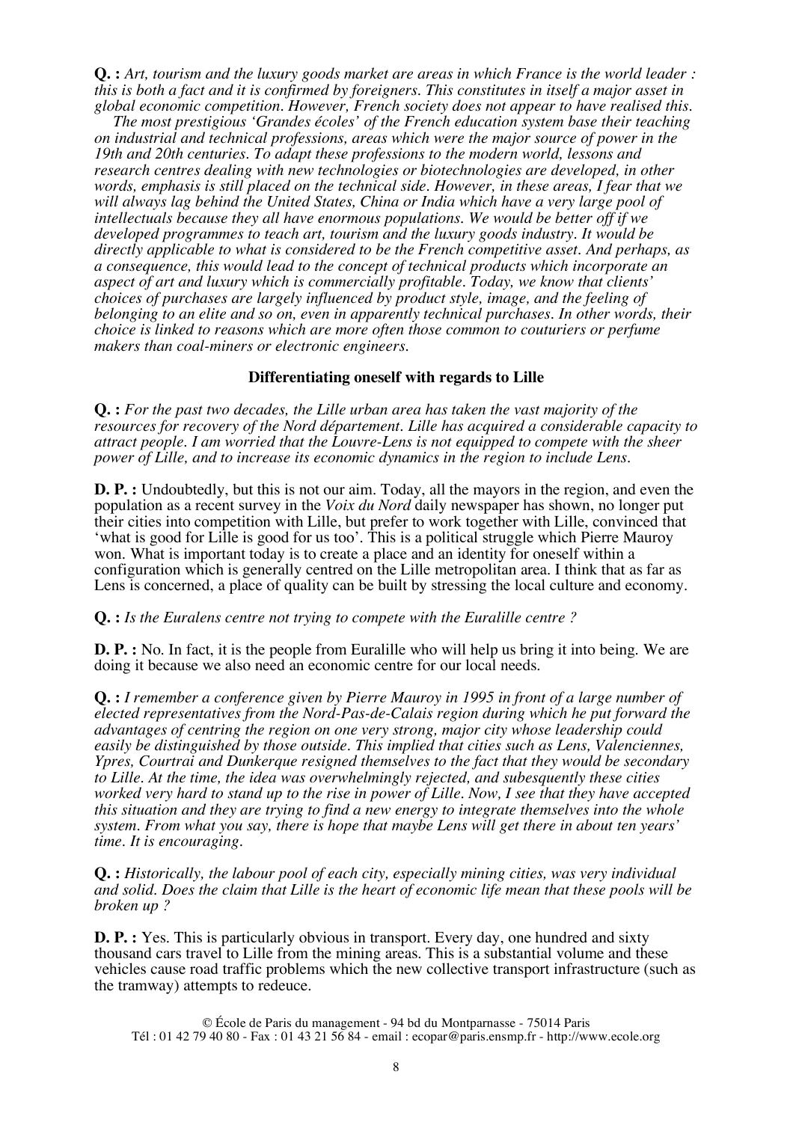**Q. :** *Art, tourism and the luxury goods market are areas in which France is the world leader : this is both a fact and it is confirmed by foreigners. This constitutes in itself a major asset in global economic competition. However, French society does not appear to have realised this.*

*The most prestigious 'Grandes écoles' of the French education system base their teaching on industrial and technical professions, areas which were the major source of power in the 19th and 20th centuries. To adapt these professions to the modern world, lessons and research centres dealing with new technologies or biotechnologies are developed, in other words, emphasis is still placed on the technical side. However, in these areas, I fear that we will always lag behind the United States, China or India which have a very large pool of intellectuals because they all have enormous populations. We would be better off if we developed programmes to teach art, tourism and the luxury goods industry. It would be directly applicable to what is considered to be the French competitive asset. And perhaps, as a consequence, this would lead to the concept of technical products which incorporate an aspect of art and luxury which is commercially profitable. Today, we know that clients' choices of purchases are largely influenced by product style, image, and the feeling of belonging to an elite and so on, even in apparently technical purchases. In other words, their choice is linked to reasons which are more often those common to couturiers or perfume makers than coal-miners or electronic engineers.*

## **Differentiating oneself with regards to Lille**

**Q. :** *For the past two decades, the Lille urban area has taken the vast majority of the resources for recovery of the Nord département. Lille has acquired a considerable capacity to attract people. I am worried that the Louvre-Lens is not equipped to compete with the sheer power of Lille, and to increase its economic dynamics in the region to include Lens.*

**D. P. :** Undoubtedly, but this is not our aim. Today, all the mayors in the region, and even the population as a recent survey in the *Voix du Nord* daily newspaper has shown, no longer put their cities into competition with Lille, but prefer to work together with Lille, convinced that 'what is good for Lille is good for us too'. This is a political struggle which Pierre Mauroy won. What is important today is to create a place and an identity for oneself within a configuration which is generally centred on the Lille metropolitan area. I think that as far as Lens is concerned, a place of quality can be built by stressing the local culture and economy.

### **Q. :** *Is the Euralens centre not trying to compete with the Euralille centre ?*

**D. P. :** No. In fact, it is the people from Euralille who will help us bring it into being. We are doing it because we also need an economic centre for our local needs.

**Q. :** *I remember a conference given by Pierre Mauroy in 1995 in front of a large number of elected representatives from the Nord-Pas-de-Calais region during which he put forward the advantages of centring the region on one very strong, major city whose leadership could easily be distinguished by those outside. This implied that cities such as Lens, Valenciennes, Ypres, Courtrai and Dunkerque resigned themselves to the fact that they would be secondary to Lille. At the time, the idea was overwhelmingly rejected, and subesquently these cities worked very hard to stand up to the rise in power of Lille. Now, I see that they have accepted this situation and they are trying to find a new energy to integrate themselves into the whole system. From what you say, there is hope that maybe Lens will get there in about ten years' time. It is encouraging.*

**Q. :** *Historically, the labour pool of each city, especially mining cities, was very individual and solid. Does the claim that Lille is the heart of economic life mean that these pools will be broken up ?*

**D. P. :** Yes. This is particularly obvious in transport. Every day, one hundred and sixty thousand cars travel to Lille from the mining areas. This is a substantial volume and these vehicles cause road traffic problems which the new collective transport infrastructure (such as the tramway) attempts to redeuce.

© École de Paris du management - 94 bd du Montparnasse - 75014 Paris Tél : 01 42 79 40 80 - Fax : 01 43 21 56 84 - email : ecopar@paris.ensmp.fr - http://www.ecole.org